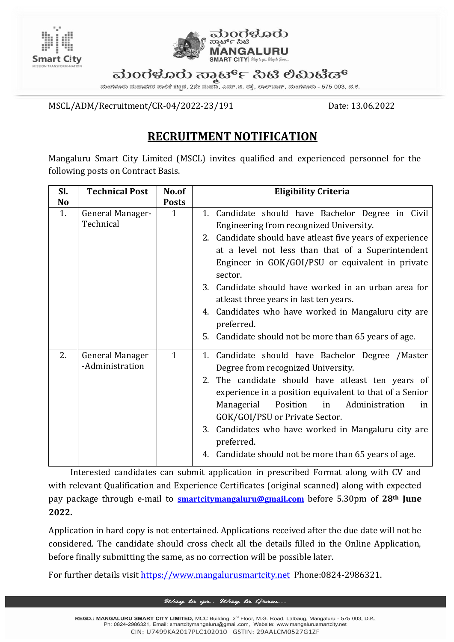



ಮಂಗಳೂರು ಸಾರ್ಟ್ ಸಿಟಿ ಲಿಮಿಟೆಡ್

ಮಂಗಳೂರು ಮಹಾನಗರ ಪಾಲಿಕೆ ಕಟ್ಟಡ, 2ನೇ ಮಹಡಿ, ಎಮ್.ಜಿ. ರಸ್ತೆ, ಲಾಲ್ಬಾಗ್, ಮಂಗಳೂರು - 575 003, ದ.ಕ.

MSCL/ADM/Recruitment/CR-04/2022-23/191 Date: 13.06.2022

## **RECRUITMENT NOTIFICATION**

Mangaluru Smart City Limited (MSCL) invites qualified and experienced personnel for the following posts on Contract Basis.

| Sl.            | <b>Technical Post</b>                     | No.of        | <b>Eligibility Criteria</b>                                                                                                                                                                                                                                                                                                                                                                                                                                                                                   |
|----------------|-------------------------------------------|--------------|---------------------------------------------------------------------------------------------------------------------------------------------------------------------------------------------------------------------------------------------------------------------------------------------------------------------------------------------------------------------------------------------------------------------------------------------------------------------------------------------------------------|
| N <sub>o</sub> |                                           | <b>Posts</b> |                                                                                                                                                                                                                                                                                                                                                                                                                                                                                                               |
| 1.             | General Manager-<br>Technical             | $\mathbf{1}$ | 1. Candidate should have Bachelor Degree in Civil<br>Engineering from recognized University.<br>2. Candidate should have atleast five years of experience<br>at a level not less than that of a Superintendent<br>Engineer in GOK/GOI/PSU or equivalent in private<br>sector.<br>3. Candidate should have worked in an urban area for<br>atleast three years in last ten years.<br>4. Candidates who have worked in Mangaluru city are<br>preferred.<br>5. Candidate should not be more than 65 years of age. |
| 2.             | <b>General Manager</b><br>-Administration | $\mathbf{1}$ | 1. Candidate should have Bachelor Degree /Master<br>Degree from recognized University.<br>2. The candidate should have atleast ten years of<br>experience in a position equivalent to that of a Senior<br>Administration<br>Managerial<br>Position<br>in<br>in<br>GOK/GOI/PSU or Private Sector.<br>3. Candidates who have worked in Mangaluru city are<br>preferred.<br>4. Candidate should not be more than 65 years of age.                                                                                |

Interested candidates can submit application in prescribed Format along with CV and with relevant Qualification and Experience Certificates (original scanned) along with expected pay package through e-mail to **[smartcitymangaluru@gmail.com](mailto:smartcitymangaluru@gmail.com)** before 5.30pm of **28th June 2022.**

Application in hard copy is not entertained. Applications received after the due date will not be considered. The candidate should cross check all the details filled in the Online Application, before finally submitting the same, as no correction will be possible later.

For further details visit [https://www.mangalurusmartcity.net](https://www.mangalurusmartcity.net/default.aspx) Phone:0824-2986321.

## Way to go.. Way to Grow...